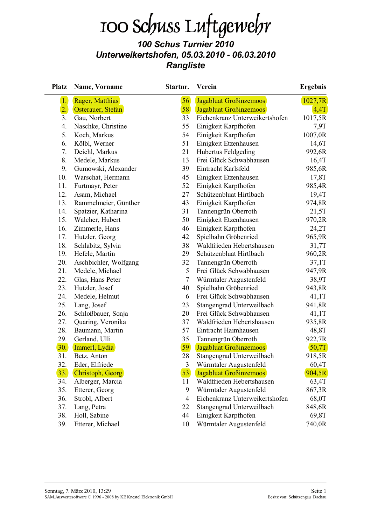# 100 Schuss Luftgewehr

#### 100 Schus Turnier 2010 Unterweikertshofen, 05.03.2010 - 06.03.2010 **Rangliste**

| <b>Platz</b> | Name, Vorname         | Startnr.       | <b>Verein</b>                  | <b>Ergebnis</b> |  |
|--------------|-----------------------|----------------|--------------------------------|-----------------|--|
| 1.           | Rager, Matthias       | 56             | <b>Jagabluat Großinzemoos</b>  | 1027,7R         |  |
| 2.           | Osterauer, Stefan     | 58             | Jagabluat Großinzemoos         | 4,4T            |  |
| 3.           | Gau, Norbert          | 33             | Eichenkranz Unterweikertshofen | 1017,5R         |  |
| 4.           | Naschke, Christine    | 55             | Einigkeit Karpfhofen           | 7,9T            |  |
| 5.           | Koch, Markus          | 54             | Einigkeit Karpfhofen           | 1007,0R         |  |
| 6.           | Kölbl, Werner         | 51             | Einigkeit Etzenhausen          | 14,6T           |  |
| 7.           | Deichl, Markus        | 21             | Hubertus Feldgeding            | 992,6R          |  |
| 8.           | Medele, Markus        | 13             | Frei Glück Schwabhausen        | 16,4T           |  |
| 9.           | Gumowski, Alexander   | 39             | Eintracht Karlsfeld            | 985,6R          |  |
| 10.          | Warschat, Hermann     | 45             | Einigkeit Etzenhausen          | 17,8T           |  |
| 11.          | Furtmayr, Peter       | 52             | Einigkeit Karpfhofen           | 985,4R          |  |
| 12.          | Asam, Michael         | 27             | Schützenbluat Hirtlbach        | 19,4T           |  |
| 13.          | Rammelmeier, Günther  | 43             | Einigkeit Karpfhofen           | 974,8R          |  |
| 14.          | Spatzier, Katharina   | 31             | Tannengrün Oberroth            | 21,5T           |  |
| 15.          | Walcher, Hubert       | 50             | Einigkeit Etzenhausen          | 970,2R          |  |
| 16.          | Zimmerle, Hans        | 46             | Einigkeit Karpfhofen           | 24,2T           |  |
| 17.          | Hutzler, Georg        | 42             | Spielhahn Gröbenried           | 965,9R          |  |
| 18.          | Schlabitz, Sylvia     | 38             | Waldfrieden Hebertshausen      | 31,7T           |  |
| 19.          | Hefele, Martin        | 29             | Schützenbluat Hirtlbach        | 960,2R          |  |
| 20.          | Aschbichler, Wolfgang | 32             | Tannengrün Oberroth            | 37,1T           |  |
| 21.          | Medele, Michael       | 5              | Frei Glück Schwabhausen        | 947,9R          |  |
| 22.          | Glas, Hans Peter      | $\overline{7}$ | Würmtaler Augustenfeld         | 38,9T           |  |
| 23.          | Hutzler, Josef        | 40             | Spielhahn Gröbenried           | 943,8R          |  |
| 24.          | Medele, Helmut        | 6              | Frei Glück Schwabhausen        | 41,1T           |  |
| 25.          | Lang, Josef           | 23             | Stangengrad Unterweilbach      | 941,8R          |  |
| 26.          | Schloßbauer, Sonja    | 20             | Frei Glück Schwabhausen        | 41,1T           |  |
| 27.          | Quaring, Veronika     | 37             | Waldfrieden Hebertshausen      | 935,8R          |  |
| 28.          | Baumann, Martin       | 57             | Eintracht Haimhausen           | 48,8T           |  |
| 29.          | Gerland, Ulli         | 35             | Tannengrün Oberroth            | 922,7R          |  |
| 30.          | Immerl, Lydia         | 59             | <b>Jagabluat Großinzemoos</b>  | 50,7T           |  |
| 31.          | Betz, Anton           | 28             | Stangengrad Unterweilbach      | 918,5R          |  |
| 32.          | Eder, Elfriede        | 3              | Würmtaler Augustenfeld         | 60,4T           |  |
| 33.          | Christoph, Georg      | 53             | Jagabluat Großinzemoos         | 904,5R          |  |
| 34.          | Alberger, Marcia      | 11             | Waldfrieden Hebertshausen      | 63,4T           |  |
| 35.          | Etterer, Georg        | 9              | Würmtaler Augustenfeld         | 867,3R          |  |
| 36.          | Strobl, Albert        | $\overline{4}$ | Eichenkranz Unterweikertshofen | 68,0T           |  |
| 37.          | Lang, Petra           | 22             | Stangengrad Unterweilbach      | 848,6R          |  |
| 38.          | Holl, Sabine          | 44             | Einigkeit Karpfhofen           | 69,8T           |  |
| 39.          | Etterer, Michael      | 10             | Würmtaler Augustenfeld         | 740,0R          |  |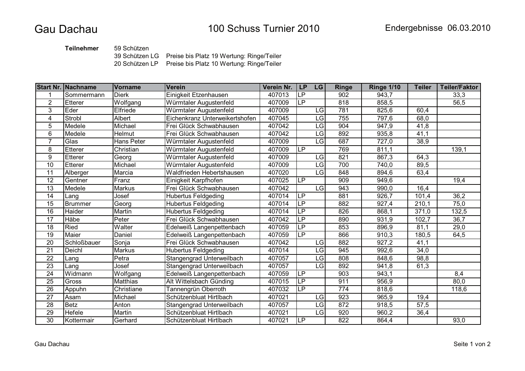**Teilnehmer** 59 Schützen

39 Schützen LG Preise bis Platz 19 Wertung: Ringe/Teiler

20 Schützen LP Preise bis Platz 10 Wertung: Ringe/Teiler

|                 | <b>Start Nr. Nachname</b> | <b>Vorname</b> | <b>Verein</b>                  | Verein Nr. | <b>LP</b>                | <b>LG</b> | <b>Ringe</b>     | <b>Ringe 1/10</b> | <b>Teiler</b>      | <b>Teiler/Faktor</b> |
|-----------------|---------------------------|----------------|--------------------------------|------------|--------------------------|-----------|------------------|-------------------|--------------------|----------------------|
|                 | Sommermann                | <b>Dierk</b>   | Einigkeit Etzenhausen          | 407013     | $\overline{\mathsf{LP}}$ |           | 902              | 943,7             |                    | 33,3                 |
| $\overline{2}$  | Etterer                   | Wolfgang       | Würmtaler Augustenfeld         | 407009     | LP.                      |           | 818              | 858,5             |                    | 56,5                 |
| $\overline{3}$  | Eder                      | Elfriede       | Würmtaler Augustenfeld         | 407009     |                          | LG        | 781              | 825,6             | 60,4               |                      |
| 4               | Strobl                    | Albert         | Eichenkranz Unterweikertshofen | 407045     |                          | LG        | 755              | 797,6             | 68,0               |                      |
| 5               | Medele                    | Michael        | Frei Glück Schwabhausen        | 407042     |                          | LG        | 904              | 947,9             | 41,8               |                      |
| 6               | Medele                    | Helmut         | Frei Glück Schwabhausen        | 407042     |                          | LG        | 892              | 935,8             | 41,1               |                      |
| $\overline{7}$  | Glas                      | Hans Peter     | Würmtaler Augustenfeld         | 407009     |                          | LG        | 687              | 727,0             | 38,9               |                      |
| 8               | Etterer                   | Christian      | Würmtaler Augustenfeld         | 407009     | LP                       |           | 769              | 811,1             |                    | 139,1                |
| 9               | Etterer                   | Georg          | Würmtaler Augustenfeld         | 407009     |                          | LG        | 821              | 867,3             | 64,3               |                      |
| $\overline{10}$ | <b>Etterer</b>            | Michael        | Würmtaler Augustenfeld         | 407009     |                          | LG        | 700              | 740,0             | 89,5               |                      |
| 11              | Alberger                  | Marcia         | Waldfrieden Hebertshausen      | 407020     |                          | LG        | 848              | 894,6             | 63,4               |                      |
| 12              | Gentner                   | Franz          | Einigkeit Karpfhofen           | 407025     | <b>LP</b>                |           | 909              | 949,6             |                    | 19,4                 |
| $\overline{13}$ | Medele                    | <b>Markus</b>  | Frei Glück Schwabhausen        | 407042     |                          | LG        | 943              | 990,0             | 16,4               |                      |
| 14              | Lang                      | Josef          | Hubertus Feldgeding            | 407014     | $\overline{\mathsf{LP}}$ |           | 881              | 926,7             | 101,4              | 36,2                 |
| 15              | <b>Brummer</b>            | Georg          | <b>Hubertus Feldgeding</b>     | 407014     | LP                       |           | 882              | 927,4             | $\overline{2}10,1$ | 75,0                 |
| $\overline{16}$ | Haider                    | Martin         | <b>Hubertus Feldgeding</b>     | 407014     | LP                       |           | 826              | 868,1             | 371,0              | 132,5                |
| 17              | Häbe                      | Peter          | Frei Glück Schwabhausen        | 407042     | LP                       |           | 890              | 931,9             | 102,7              | 36,7                 |
| 18              | Ried                      | Walter         | Edelweiß Langenpettenbach      | 407059     | LP                       |           | 853              | 896,9             | 81,1               | 29,0                 |
| 19              | Maier                     | Daniel         | Edelweiß Langenpettenbach      | 407059     | LP                       |           | 866              | 910,3             | 180,5              | 64,5                 |
| 20              | Schloßbauer               | Sonja          | Frei Glück Schwabhausen        | 407042     |                          | LG        | 882              | 927,2             | 41,1               |                      |
| $\overline{21}$ | Deichl                    | <b>Markus</b>  | <b>Hubertus Feldgeding</b>     | 407014     |                          | LG        | 945              | 992,6             | 34,0               |                      |
| $\overline{22}$ | Lang                      | Petra          | Stangengrad Unterweilbach      | 407057     |                          | LG        | 808              | 848,6             | 98,8               |                      |
| $\overline{23}$ | Lang                      | Josef          | Stangengrad Unterweilbach      | 407057     |                          | LG        | 892              | 941,8             | 61,3               |                      |
| $\overline{24}$ | Widmann                   | Wolfgang       | Edelweiß Langenpettenbach      | 407059     | $\overline{\mathsf{LP}}$ |           | 903              | 943,1             |                    | 8,4                  |
| $\overline{25}$ | Gross                     | Matthias       | Alt Wittelsbach Günding        | 407015     | $\overline{\mathsf{LP}}$ |           | 911              | 956,9             |                    | 80,0                 |
| $\overline{26}$ | Appuhn                    | Christiane     | Tannengrün Oberroth            | 407032     | LP                       |           | $\overline{774}$ | 818,6             |                    | 118,6                |
| 27              | Asam                      | Michael        | Schützenbluat Hirtlbach        | 407021     |                          | LG        | 923              | 965,9             | 19,4               |                      |
| 28              | <b>Betz</b>               | Anton          | Stangengrad Unterweilbach      | 407057     |                          | LG        | 872              | 918,5             | 57,5               |                      |
| 29              | Hefele                    | Martin         | Schützenbluat Hirtlbach        | 407021     |                          | LG        | 920              | 960,2             | 36,4               |                      |
| 30              | Kottermair                | Gerhard        | Schützenbluat Hirtlbach        | 407021     | LP                       |           | 822              | 864,4             |                    | 93,0                 |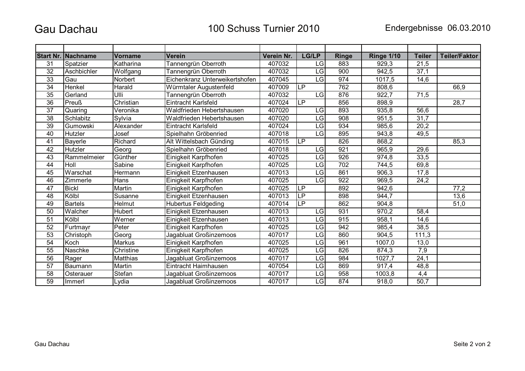## **Gau Dachau**

|                 | <b>Start Nr. Nachname</b> | <b>Vorname</b> | <b>Verein</b>                  | Verein Nr. | LG/LP                    | <b>Ringe</b> | <b>Ringe 1/10</b> | <b>Teiler</b>     | <b>Teiler/Faktor</b> |
|-----------------|---------------------------|----------------|--------------------------------|------------|--------------------------|--------------|-------------------|-------------------|----------------------|
| 31              | Spatzier                  | Katharina      | Tannengrün Oberroth            | 407032     | LG                       | 883          | 929,3             | 21,5              |                      |
| $\overline{32}$ | Aschbichler               | Wolfgang       | Tannengrün Oberroth            | 407032     | LG                       | 900          | 942,5             | 37,1              |                      |
| $\overline{33}$ | Gau                       | Norbert        | Eichenkranz Unterweikertshofen | 407045     | LG                       | 974          | 1017,5            | 14,6              |                      |
| $\overline{34}$ | Henkel                    | Harald         | Würmtaler Augustenfeld         | 407009     | $\overline{\mathsf{LP}}$ | 762          | 808,6             |                   | 66,9                 |
| 35              | Gerland                   | Ulli           | Tannengrün Oberroth            | 407032     | <b>LG</b>                | 876          | 922,7             | 71,5              |                      |
| 36              | <b>Preuß</b>              | Christian      | Eintracht Karlsfeld            | 407024     | <b>LP</b>                | 856          | 898,9             |                   | 28,7                 |
| $\overline{37}$ | Quaring                   | Veronika       | Waldfrieden Hebertshausen      | 407020     | LG                       | 893          | 935,8             | 56,6              |                      |
| $\overline{38}$ | Schlabitz                 | Sylvia         | Waldfrieden Hebertshausen      | 407020     | LG                       | 908          | 951,5             | 31,7              |                      |
| $\overline{39}$ | Gumowski                  | Alexander      | Eintracht Karlsfeld            | 407024     | LG                       | 934          | 985,6             | 20,2              |                      |
| 40              | Hutzler                   | Josef          | Spielhahn Gröbenried           | 407018     | LG                       | 895          | 943,8             | 49,5              |                      |
| 41              | Bayerle                   | Richard        | Alt Wittelsbach Günding        | 407015     | <b>LP</b>                | 826          | 868,2             |                   | 85,3                 |
| 42              | Hutzler                   | Georg          | Spielhahn Gröbenried           | 407018     | LG                       | 921          | 965,9             | 29,6              |                      |
| 43              | Rammelmeier               | Günther        | Einigkeit Karpfhofen           | 407025     | LG                       | 926          | 974,8             | 33,5              |                      |
| 44              | Holl                      | Sabine         | Einigkeit Karpfhofen           | 407025     | LG                       | 702          | 744,5             | 69,8              |                      |
| 45              | Warschat                  | Hermann        | Einigkeit Etzenhausen          | 407013     | LG                       | 861          | 906,3             | 17,8              |                      |
| 46              | Zimmerle                  | Hans           | Einigkeit Karpfhofen           | 407025     | LG                       | 922          | 969,5             | 24,2              |                      |
| $\overline{47}$ | <b>Bickl</b>              | Martin         | Einigkeit Karpfhofen           | 407025     | $\overline{\mathsf{LP}}$ | 892          | 942,6             |                   | 77,2                 |
| 48              | Kölbl                     | Susanne        | Einigkeit Etzenhausen          | 407013     | <b>LP</b>                | 898          | 944,7             |                   | 13,6                 |
| 49              | <b>Bartels</b>            | Helmut         | <b>Hubertus Feldgeding</b>     | 407014     | LP                       | 862          | 904,8             |                   | 51,0                 |
| 50              | Walcher                   | Hubert         | Einigkeit Etzenhausen          | 407013     | LG                       | 931          | 970,2             | 58,4              |                      |
| 51              | Kölbl                     | Werner         | Einigkeit Etzenhausen          | 407013     | LG                       | 915          | 958,1             | 14,6              |                      |
| 52              | Furtmayr                  | Peter          | Einigkeit Karpfhofen           | 407025     | LG                       | 942          | 985,4             | 38,5              |                      |
| 53              | Christoph                 | Georg          | Jagabluat Großinzemoos         | 407017     | LG                       | 860          | 904,5             | 111,3             |                      |
| 54              | Koch                      | Markus         | Einigkeit Karpfhofen           | 407025     | LG                       | 961          | 1007,0            | 13,0              |                      |
| 55              | Naschke                   | Christine      | Einigkeit Karpfhofen           | 407025     | LG                       | 826          | 874,3             | $\overline{7,9}$  |                      |
| 56              | Rager                     | Matthias       | Jagabluat Großinzemoos         | 407017     | LG                       | 984          | 1027,7            | 24,1              |                      |
| 57              | Baumann                   | Martin         | Eintracht Haimhausen           | 407054     | LG                       | 869          | 917,4             | 48,8              |                      |
| $\overline{58}$ | Osterauer                 | Stefan         | Jagabluat Großinzemoos         | 407017     | LG                       | 958          | 1003,8            | 4,4               |                      |
| 59              | Immerl                    | Lydia          | Jagabluat Großinzemoos         | 407017     | $\overline{\text{LG}}$   | 874          | 918,0             | $\overline{50,7}$ |                      |